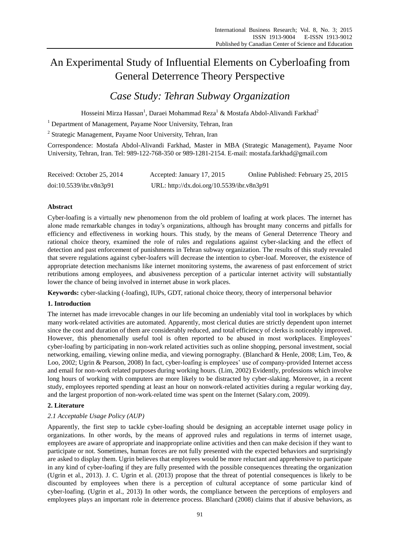# An Experimental Study of Influential Elements on Cyberloafing from General Deterrence Theory Perspective

## *Case Study: Tehran Subway Organization*

Hosseini Mirza Hassan $^{\rm l}$ , Daraei Mohammad Reza $^{\rm l}$  & Mostafa Abdol-Alivandi Farkhad $^{\rm 2}$ 

<sup>1</sup> Department of Management, Payame Noor University, Tehran, Iran

<sup>2</sup> Strategic Management, Payame Noor University, Tehran, Iran

Correspondence: Mostafa Abdol-Alivandi Farkhad, Master in MBA (Strategic Management), Payame Noor University, Tehran, Iran. Tel: 989-122-768-350 or 989-1281-2154. E-mail: mostafa.farkhad@gmail.com

| Received: October 25, 2014 | Accepted: January 17, 2015                 | Online Published: February 25, 2015 |
|----------------------------|--------------------------------------------|-------------------------------------|
| doi:10.5539/ibr.v8n3p91    | URL: http://dx.doi.org/10.5539/ibr.v8n3p91 |                                     |

## **Abstract**

Cyber-loafing is a virtually new phenomenon from the old problem of loafing at work places. The internet has alone made remarkable changes in today's organizations, although has brought many concerns and pitfalls for efficiency and effectiveness in working hours. This study, by the means of General Deterrence Theory and rational choice theory, examined the role of rules and regulations against cyber-slacking and the effect of detection and past enforcement of punishments in Tehran subway organization. The results of this study revealed that severe regulations against cyber-loafers will decrease the intention to cyber-loaf. Moreover, the existence of appropriate detection mechanisms like internet monitoring systems, the awareness of past enforcement of strict retributions among employees, and abusiveness perception of a particular internet activity will substantially lower the chance of being involved in internet abuse in work places.

**Keywords:** cyber-slacking (-loafing), IUPs, GDT, rational choice theory, theory of interpersonal behavior

## **1. Introduction**

The internet has made irrevocable changes in our life becoming an undeniably vital tool in workplaces by which many work-related activities are automated. Apparently, most clerical duties are strictly dependent upon internet since the cost and duration of them are considerably reduced, and total efficiency of clerks is noticeably improved. However, this phenomenally useful tool is often reported to be abused in most workplaces. Employees' cyber-loafing by participating in non-work related activities such as online shopping, personal investment, social networking, emailing, viewing online media, and viewing pornography. (Blanchard & Henle, 2008; Lim, Teo, & Loo, 2002; Ugrin & Pearson, 2008) In fact, cyber-loafing is employees' use of company-provided Internet access and email for non-work related purposes during working hours. (Lim, 2002) Evidently, professions which involve long hours of working with computers are more likely to be distracted by cyber-slaking. Moreover, in a recent study, employees reported spending at least an hour on nonwork-related activities during a regular working day, and the largest proportion of non-work-related time was spent on the Internet (Salary.com, 2009).

## **2. Literature**

## *2.1 Acceptable Usage Policy (AUP)*

Apparently, the first step to tackle cyber-loafing should be designing an acceptable internet usage policy in organizations. In other words, by the means of approved rules and regulations in terms of internet usage, employees are aware of appropriate and inappropriate online activities and then can make decision if they want to participate or not. Sometimes, human forces are not fully presented with the expected behaviors and surprisingly are asked to display them. Ugrin believes that employees would be more reluctant and apprehensive to participate in any kind of cyber-loafing if they are fully presented with the possible consequences threating the organization (Ugrin et al., 2013). J. C. Ugrin et al. (2013) propose that the threat of potential consequences is likely to be discounted by employees when there is a perception of cultural acceptance of some particular kind of cyber-loafing. (Ugrin et al., 2013) In other words, the compliance between the perceptions of employers and employees plays an important role in deterrence process. Blanchard (2008) claims that if abusive behaviors, as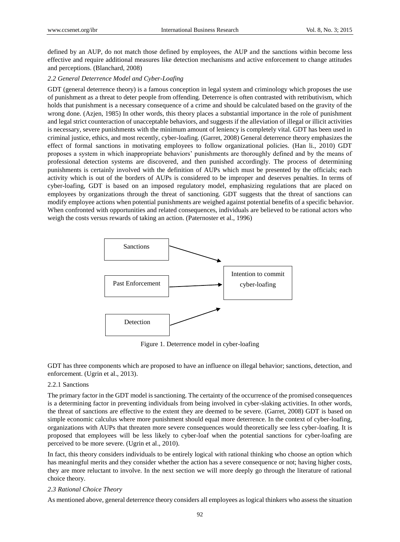defined by an AUP, do not match those defined by employees, the AUP and the sanctions within become less effective and require additional measures like detection mechanisms and active enforcement to change attitudes and perceptions. (Blanchard, 2008)

#### *2.2 General Deterrence Model and Cyber-Loafing*

GDT (general deterrence theory) is a famous conception in legal system and criminology which proposes the use of punishment as a threat to deter people from offending. Deterrence is often contrasted with retributivism, which holds that punishment is a necessary consequence of a crime and should be calculated based on the gravity of the wrong done. (Azjen, 1985) In other words, this theory places a substantial importance in the role of punishment and legal strict counteraction of unacceptable behaviors, and suggests if the alleviation of illegal or illicit activities is necessary, severe punishments with the minimum amount of leniency is completely vital. GDT has been used in criminal justice, ethics, and most recently, cyber-loafing. (Garret, 2008) General deterrence theory emphasizes the effect of formal sanctions in motivating employees to follow organizational policies. (Han li., 2010) GDT proposes a system in which inappropriate behaviors' punishments are thoroughly defined and by the means of professional detection systems are discovered, and then punished accordingly. The process of determining punishments is certainly involved with the definition of AUPs which must be presented by the officials; each activity which is out of the borders of AUPs is considered to be improper and deserves penalties. In terms of cyber-loafing, GDT is based on an imposed regulatory model, emphasizing regulations that are placed on employees by organizations through the threat of sanctioning. GDT suggests that the threat of sanctions can modify employee actions when potential punishments are weighed against potential benefits of a specific behavior. When confronted with opportunities and related consequences, individuals are believed to be rational actors who weigh the costs versus rewards of taking an action. (Paternoster et al., 1996)



Figure 1. Deterrence model in cyber-loafing

GDT has three components which are proposed to have an influence on illegal behavior; sanctions, detection, and enforcement. (Ugrin et al., 2013).

#### 2.2.1 Sanctions

The primary factor in the GDT model is sanctioning. The certainty of the occurrence of the promised consequences is a determining factor in preventing individuals from being involved in cyber-slaking activities. In other words, the threat of sanctions are effective to the extent they are deemed to be severe. (Garret, 2008) GDT is based on simple economic calculus where more punishment should equal more deterrence. In the context of cyber-loafing, organizations with AUPs that threaten more severe consequences would theoretically see less cyber-loafing. It is proposed that employees will be less likely to cyber-loaf when the potential sanctions for cyber-loafing are perceived to be more severe. (Ugrin et al., 2010).

In fact, this theory considers individuals to be entirely logical with rational thinking who choose an option which has meaningful merits and they consider whether the action has a severe consequence or not; having higher costs, they are more reluctant to involve. In the next section we will more deeply go through the literature of rational choice theory.

#### *2.3 Rational Choice Theory*

As mentioned above, general deterrence theory considers all employees as logical thinkers who assess the situation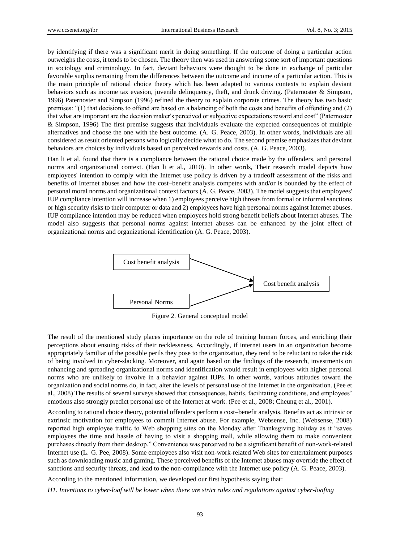by identifying if there was a significant merit in doing something. If the outcome of doing a particular action outweighs the costs, it tends to be chosen. The theory then was used in answering some sort of important questions in sociology and criminology. In fact, deviant behaviors were thought to be done in exchange of particular favorable surplus remaining from the differences between the outcome and income of a particular action. This is the main principle of rational choice theory which has been adapted to various contexts to explain deviant behaviors such as income tax evasion, juvenile delinquency, theft, and drunk driving. (Paternoster & Simpson, 1996) Paternoster and Simpson (1996) refined the theory to explain corporate crimes. The theory has two basic premises: "(1) that decisions to offend are based on a balancing of both the costs and benefits of offending and (2) that what are important are the decision maker's perceived or subjective expectations reward and cost" (Paternoster & Simpson, 1996) The first premise suggests that individuals evaluate the expected consequences of multiple alternatives and choose the one with the best outcome. (A. G. Peace, 2003). In other words, individuals are all considered as result oriented persons who logically decide what to do. The second premise emphasizes that deviant behaviors are choices by individuals based on perceived rewards and costs. (A. G. Peace, 2003).

Han li et al. found that there is a compliance between the rational choice made by the offenders, and personal norms and organizational context. (Han li et al., 2010). In other words, Their research model depicts how employees' intention to comply with the Internet use policy is driven by a tradeoff assessment of the risks and benefits of Internet abuses and how the cost–benefit analysis competes with and/or is bounded by the effect of personal moral norms and organizational context factors (A. G. Peace, 2003). The model suggests that employees' IUP compliance intention will increase when 1) employees perceive high threats from formal or informal sanctions or high security risks to their computer or data and 2) employees have high personal norms against Internet abuses. IUP compliance intention may be reduced when employees hold strong benefit beliefs about Internet abuses. The model also suggests that personal norms against internet abuses can be enhanced by the joint effect of organizational norms and organizational identification (A. G. Peace, 2003).



Figure 2. General conceptual model

The result of the mentioned study places importance on the role of training human forces, and enriching their perceptions about ensuing risks of their recklessness. Accordingly, if internet users in an organization become appropriately familiar of the possible perils they pose to the organization, they tend to be reluctant to take the risk of being involved in cyber-slacking. Moreover, and again based on the findings of the research, investments on enhancing and spreading organizational norms and identification would result in employees with higher personal norms who are unlikely to involve in a behavior against IUPs. In other words, various attitudes toward the organization and social norms do, in fact, alter the levels of personal use of the Internet in the organization. (Pee et al., 2008) The results of several surveys showed that consequences, habits, facilitating conditions, and employees' emotions also strongly predict personal use of the Internet at work. (Pee et al., 2008; Cheung et al., 2001).

According to rational choice theory, potential offenders perform a cost–benefit analysis. Benefits act as intrinsic or extrinsic motivation for employees to commit Internet abuse. For example, Websense, Inc. (Websense, 2008) reported high employee traffic to Web shopping sites on the Monday after Thanksgiving holiday as it "saves employees the time and hassle of having to visit a shopping mall, while allowing them to make convenient purchases directly from their desktop." Convenience was perceived to be a significant benefit of non-work-related Internet use (L. G. Pee, 2008). Some employees also visit non-work-related Web sites for entertainment purposes such as downloading music and gaming. These perceived benefits of the Internet abuses may override the effect of sanctions and security threats, and lead to the non-compliance with the Internet use policy (A. G. Peace, 2003).

According to the mentioned information, we developed our first hypothesis saying that:

*H1. Intentions to cyber-loaf will be lower when there are strict rules and regulations against cyber-loafing*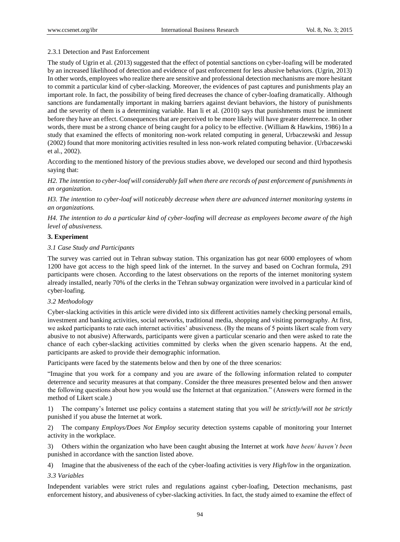## 2.3.1 Detection and Past Enforcement

The study of Ugrin et al. (2013) suggested that the effect of potential sanctions on cyber-loafing will be moderated by an increased likelihood of detection and evidence of past enforcement for less abusive behaviors. (Ugrin, 2013) In other words, employees who realize there are sensitive and professional detection mechanisms are more hesitant to commit a particular kind of cyber-slacking. Moreover, the evidences of past captures and punishments play an important role. In fact, the possibility of being fired decreases the chance of cyber-loafing dramatically. Although sanctions are fundamentally important in making barriers against deviant behaviors, the history of punishments and the severity of them is a determining variable. Han li et al. (2010) says that punishments must be imminent before they have an effect. Consequences that are perceived to be more likely will have greater deterrence. In other words, there must be a strong chance of being caught for a policy to be effective. (William & Hawkins, 1986) In a study that examined the effects of monitoring non-work related computing in general, Urbaczewski and Jessup (2002) found that more monitoring activities resulted in less non-work related computing behavior. (Urbaczewski et al., 2002).

According to the mentioned history of the previous studies above, we developed our second and third hypothesis saying that:

*H2. The intention to cyber-loaf will considerably fall when there are records of past enforcement of punishments in an organization.*

*H3. The intention to cyber-loaf will noticeably decrease when there are advanced internet monitoring systems in an organizations.*

*H4. The intention to do a particular kind of cyber-loafing will decrease as employees become aware of the high level of abusiveness.* 

## **3. Experiment**

*3.1 Case Study and Participants*

The survey was carried out in Tehran subway station. This organization has got near 6000 employees of whom 1200 have got access to the high speed link of the internet. In the survey and based on Cochran formula, 291 participants were chosen. According to the latest observations on the reports of the internet monitoring system already installed, nearly 70% of the clerks in the Tehran subway organization were involved in a particular kind of cyber-loafing.

## *3.2 Methodology*

Cyber-slacking activities in this article were divided into six different activities namely checking personal emails, investment and banking activities, social networks, traditional media, shopping and visiting pornography. At first, we asked participants to rate each internet activities' abusiveness. (By the means of 5 points likert scale from very abusive to not abusive) Afterwards, participants were given a particular scenario and then were asked to rate the chance of each cyber-slacking activities committed by clerks when the given scenario happens. At the end, participants are asked to provide their demographic information.

Participants were faced by the statements below and then by one of the three scenarios:

"Imagine that you work for a company and you are aware of the following information related to computer deterrence and security measures at that company. Consider the three measures presented below and then answer the following questions about how you would use the Internet at that organization." (Answers were formed in the method of Likert scale.)

1) The company's Internet use policy contains a statement stating that you *will be strictly/will not be strictly* punished if you abuse the Internet at work.

2) The company *Employs/Does Not Employ* security detection systems capable of monitoring your Internet activity in the workplace.

3) Others within the organization who have been caught abusing the Internet at work *have been/ haven't been* punished in accordance with the sanction listed above.

4) Imagine that the abusiveness of the each of the cyber-loafing activities is very *High/low* in the organization.

## *3.3 Variables*

Independent variables were strict rules and regulations against cyber-loafing, Detection mechanisms, past enforcement history, and abusiveness of cyber-slacking activities. In fact, the study aimed to examine the effect of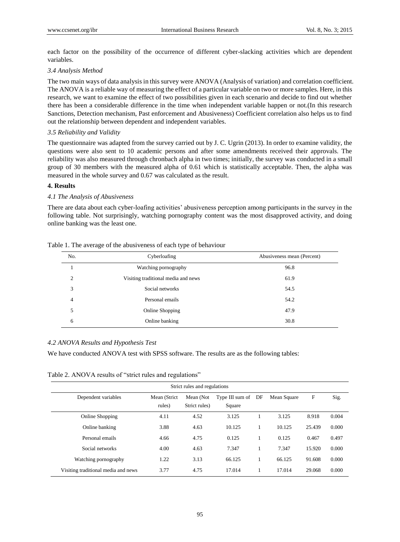each factor on the possibility of the occurrence of different cyber-slacking activities which are dependent variables.

#### *3.4 Analysis Method*

The two main ways of data analysis in this survey were ANOVA (Analysis of variation) and correlation coefficient. The ANOVA is a reliable way of measuring the effect of a particular variable on two or more samples. Here, in this research, we want to examine the effect of two possibilities given in each scenario and decide to find out whether there has been a considerable difference in the time when independent variable happen or not.(In this research Sanctions, Detection mechanism, Past enforcement and Abusiveness) Coefficient correlation also helps us to find out the relationship between dependent and independent variables.

## *3.5 Reliability and Validity*

The questionnaire was adapted from the survey carried out by J. C. Ugrin (2013). In order to examine validity, the questions were also sent to 10 academic persons and after some amendments received their approvals. The reliability was also measured through chronbach alpha in two times; initially, the survey was conducted in a small group of 30 members with the measured alpha of 0.61 which is statistically acceptable. Then, the alpha was measured in the whole survey and 0.67 was calculated as the result.

#### **4. Results**

#### *4.1 The Analysis of Abusiveness*

There are data about each cyber-loafing activities' abusiveness perception among participants in the survey in the following table. Not surprisingly, watching pornography content was the most disapproved activity, and doing online banking was the least one.

| No. | Cyberloafing                        | Abusiveness mean (Percent) |
|-----|-------------------------------------|----------------------------|
|     | Watching pornography                | 96.8                       |
| 2   | Visiting traditional media and news | 61.9                       |
| 3   | Social networks                     | 54.5                       |
| 4   | Personal emails                     | 54.2                       |
| 5   | Online Shopping                     | 47.9                       |
| 6   | Online banking                      | 30.8                       |

Table 1. The average of the abusiveness of each type of behaviour

#### *4.2 ANOVA Results and Hypothesis Test*

We have conducted ANOVA test with SPSS software. The results are as the following tables:

Table 2. ANOVA results of "strict rules and regulations"

| Strict rules and regulations        |                         |                            |                              |  |             |        |       |
|-------------------------------------|-------------------------|----------------------------|------------------------------|--|-------------|--------|-------|
| Dependent variables                 | Mean (Strict)<br>rules) | Mean (Not<br>Strict rules) | Type III sum of DF<br>Square |  | Mean Square | F      | Sig.  |
| Online Shopping                     | 4.11                    | 4.52                       | 3.125                        |  | 3.125       | 8.918  | 0.004 |
| Online banking                      | 3.88                    | 4.63                       | 10.125                       |  | 10.125      | 25.439 | 0.000 |
| Personal emails                     | 4.66                    | 4.75                       | 0.125                        |  | 0.125       | 0.467  | 0.497 |
| Social networks                     | 4.00                    | 4.63                       | 7.347                        |  | 7.347       | 15.920 | 0.000 |
| Watching pornography                | 1.22                    | 3.13                       | 66.125                       |  | 66.125      | 91.608 | 0.000 |
| Visiting traditional media and news | 3.77                    | 4.75                       | 17.014                       |  | 17.014      | 29.068 | 0.000 |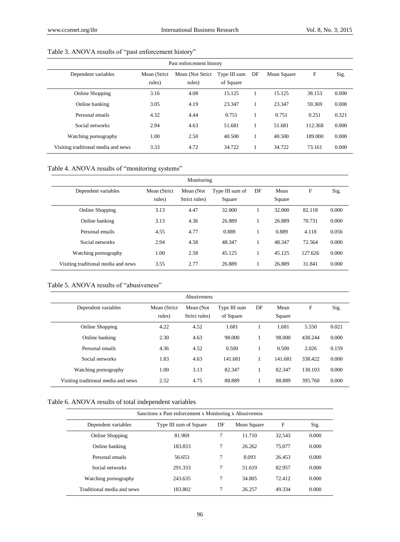| Past enforcement history            |                         |                             |                           |    |             |         |       |  |
|-------------------------------------|-------------------------|-----------------------------|---------------------------|----|-------------|---------|-------|--|
| Dependent variables                 | Mean (Strict)<br>rules) | Mean (Not Strict)<br>rules) | Type III sum<br>of Square | DF | Mean Square | F       | Sig.  |  |
| Online Shopping                     | 3.16                    | 4.08                        | 15.125                    |    | 15.125      | 38.153  | 0.000 |  |
| Online banking                      | 3.05                    | 4.19                        | 23.347                    |    | 23.347      | 59.369  | 0.000 |  |
| Personal emails                     | 4.32                    | 4.44                        | 0.751                     |    | 0.751       | 0.251   | 0.321 |  |
| Social networks                     | 2.94                    | 4.63                        | 51.681                    |    | 51.681      | 112.368 | 0.000 |  |
| Watching pornography                | 1.00                    | 2.50                        | 40.500                    |    | 40.500      | 189.000 | 0.000 |  |
| Visiting traditional media and news | 3.33                    | 4.72                        | 34.722                    |    | 34.722      | 73.161  | 0.000 |  |

## Table 3. ANOVA results of "past enforcement history"

## Table 4. ANOVA results of "monitoring systems"

| Monitoring                          |                         |                            |                           |    |                |         |       |
|-------------------------------------|-------------------------|----------------------------|---------------------------|----|----------------|---------|-------|
| Dependent variables                 | Mean (Strict)<br>rules) | Mean (Not<br>Strict rules) | Type III sum of<br>Square | DF | Mean<br>Square | F       | Sig.  |
| Online Shopping                     | 3.13                    | 4.47                       | 32.000                    |    | 32.000         | 82.118  | 0.000 |
| Online banking                      | 3.13                    | 4.36                       | 26.889                    |    | 26.889         | 70.731  | 0.000 |
| Personal emails                     | 4.55                    | 4.77                       | 0.889                     |    | 0.889          | 4.118   | 0.056 |
| Social networks                     | 2.94                    | 4.58                       | 48.347                    |    | 48.347         | 72.564  | 0.000 |
| Watching pornography                | 1.00                    | 2.58                       | 45.125                    |    | 45.125         | 127.626 | 0.000 |
| Visiting traditional media and news | 3.55                    | 2.77                       | 26.889                    |    | 26.889         | 31.841  | 0.000 |

## Table 5. ANOVA results of "abusiveness"

|                                     |                        | Abusiveness                |                           |    |                |         |       |
|-------------------------------------|------------------------|----------------------------|---------------------------|----|----------------|---------|-------|
| Dependent variables                 | Mean (Strict<br>rules) | Mean (Not<br>Strict rules) | Type III sum<br>of Square | DF | Mean<br>Square | F       | Sig.  |
| Online Shopping                     | 4.22                   | 4.52                       | 1.681                     |    | 1.681          | 5.550   | 0.021 |
| Online banking                      | 2.30                   | 4.63                       | 98.000                    |    | 98.000         | 430.244 | 0.000 |
| Personal emails                     | 4.36                   | 4.52                       | 0.500                     | л  | 0.500          | 2.026   | 0.159 |
| Social networks                     | 1.83                   | 4.63                       | 141.681                   |    | 141.681        | 338.422 | 0.000 |
| Watching pornography                | 1.00                   | 3.13                       | 82.347                    |    | 82.347         | 130.103 | 0.000 |
| Visiting traditional media and news | 2.52                   | 4.75                       | 88.889                    |    | 88.889         | 395.760 | 0.000 |

## Table 6. ANOVA results of total independent variables

| Sanctions x Past enforcement x Monitoring x Abusiveness |                        |    |             |        |       |  |  |  |
|---------------------------------------------------------|------------------------|----|-------------|--------|-------|--|--|--|
| Dependent variables                                     | Type III sum of Square | DF | Mean Square | F      | Sig.  |  |  |  |
| Online Shopping                                         | 81.969                 | 7  | 11.710      | 32.543 | 0.000 |  |  |  |
| Online banking                                          | 183.833                | 7  | 26.262      | 75.077 | 0.000 |  |  |  |
| Personal emails                                         | 56.653                 | 7  | 8.093       | 26.453 | 0.000 |  |  |  |
| Social networks                                         | 291.333                | 7  | 51.619      | 82.957 | 0.000 |  |  |  |
| Watching pornography                                    | 243.635                | 7  | 34.805      | 72.412 | 0.000 |  |  |  |
| Traditional media and news                              | 183.802                | 7  | 26.257      | 49.334 | 0.000 |  |  |  |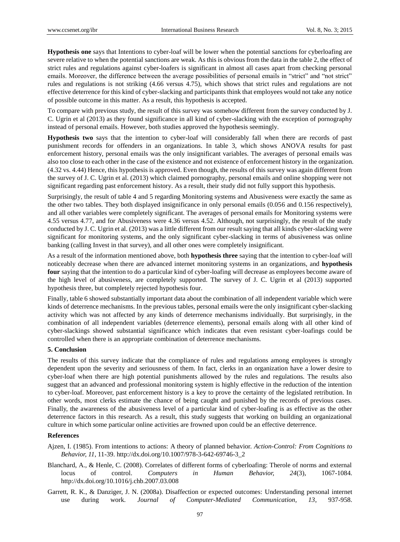**Hypothesis one** says that Intentions to cyber-loaf will be lower when the potential sanctions for cyberloafing are severe relative to when the potential sanctions are weak. As this is obvious from the data in the table 2, the effect of strict rules and regulations against cyber-loafers is significant in almost all cases apart from checking personal emails. Moreover, the difference between the average possibilities of personal emails in "strict" and "not strict" rules and regulations is not striking (4.66 versus 4.75), which shows that strict rules and regulations are not effective deterrence for this kind of cyber-slacking and participants think that employees would not take any notice of possible outcome in this matter. As a result, this hypothesis is accepted.

To compare with previous study, the result of this survey was somehow different from the survey conducted by J. C. Ugrin et al (2013) as they found significance in all kind of cyber-slacking with the exception of pornography instead of personal emails. However, both studies approved the hypothesis seemingly.

**Hypothesis two** says that the intention to cyber-loaf will considerably fall when there are records of past punishment records for offenders in an organizations. In table 3, which shows ANOVA results for past enforcement history, personal emails was the only insignificant variables. The averages of personal emails was also too close to each other in the case of the existence and not existence of enforcement history in the organization. (4.32 vs. 4.44) Hence, this hypothesis is approved. Even though, the results of this survey was again different from the survey of J. C. Ugrin et al. (2013) which claimed pornography, personal emails and online shopping were not significant regarding past enforcement history. As a result, their study did not fully support this hypothesis.

Surprisingly, the result of table 4 and 5 regarding Monitoring systems and Abusiveness were exactly the same as the other two tables. They both displayed insignificance in only personal emails (0.056 and 0.156 respectively), and all other variables were completely significant. The averages of personal emails for Monitoring systems were 4.55 versus 4.77, and for Abusiveness were 4.36 versus 4.52. Although, not surprisingly, the result of the study conducted by J. C. Ugrin et al. (2013) was a little different from our result saying that all kinds cyber-slacking were significant for monitoring systems, and the only significant cyber-slacking in terms of abusiveness was online banking (calling Invest in that survey), and all other ones were completely insignificant.

As a result of the information mentioned above, both **hypothesis three** saying that the intention to cyber-loaf will noticeably decrease when there are advanced internet monitoring systems in an organizations, and **hypothesis four** saying that the intention to do a particular kind of cyber-loafing will decrease as employees become aware of the high level of abusiveness, are completely supported. The survey of J. C. Ugrin et al (2013) supported hypothesis three, but completely rejected hypothesis four.

Finally, table 6 showed substantially important data about the combination of all independent variable which were kinds of deterrence mechanisms. In the previous tables, personal emails were the only insignificant cyber-slacking activity which was not affected by any kinds of deterrence mechanisms individually. But surprisingly, in the combination of all independent variables (deterrence elements), personal emails along with all other kind of cyber-slackings showed substantial significance which indicates that even resistant cyber-loafings could be controlled when there is an appropriate combination of deterrence mechanisms.

#### **5. Conclusion**

The results of this survey indicate that the compliance of rules and regulations among employees is strongly dependent upon the severity and seriousness of them. In fact, clerks in an organization have a lower desire to cyber-loaf when there are high potential punishments allowed by the rules and regulations. The results also suggest that an advanced and professional monitoring system is highly effective in the reduction of the intention to cyber-loaf. Moreover, past enforcement history is a key to prove the certainty of the legislated retribution. In other words, most clerks estimate the chance of being caught and punished by the records of previous cases. Finally, the awareness of the abusiveness level of a particular kind of cyber-loafing is as effective as the other deterrence factors in this research. As a result, this study suggests that working on building an organizational culture in which some particular online activities are frowned upon could be an effective deterrence.

#### **References**

- Ajzen, I. (1985). From intentions to actions: A theory of planned behavior. *Action-Control: From Cognitions to Behavior, 11*, 11-39. http://dx.doi.org/10.1007/978-3-642-69746-3\_2
- Blanchard, A., & Henle, C. (2008). Correlates of different forms of cyberloafing: Therole of norms and external locus of control. *Computers in Human Behavior, 24*(3), 1067-1084. http://dx.doi.org/10.1016/j.chb.2007.03.008
- Garrett, R. K., & Danziger, J. N. (2008a). Disaffection or expected outcomes: Understanding personal internet use during work. *Journal of Computer-Mediated Communication, 13*, 937-958.